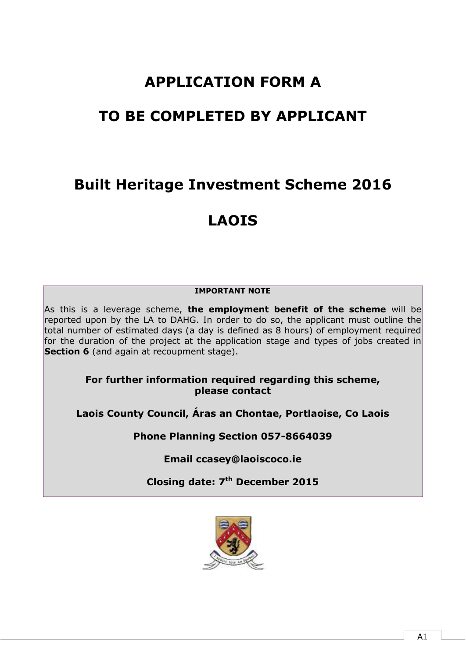# **APPLICATION FORM A**

# **TO BE COMPLETED BY APPLICANT**

# **Built Heritage Investment Scheme 2016**

# **LAOIS**

# **IMPORTANT NOTE**

As this is a leverage scheme, **the employment benefit of the scheme** will be reported upon by the LA to DAHG. In order to do so, the applicant must outline the total number of estimated days (a day is defined as 8 hours) of employment required for the duration of the project at the application stage and types of jobs created in **Section 6** (and again at recoupment stage).

> **For further information required regarding this scheme, please contact**

**Laois County Council, Áras an Chontae, Portlaoise, Co Laois**

**Phone Planning Section 057-8664039**

**Email ccasey@laoiscoco.ie**

**Closing date: 7 th December 2015**

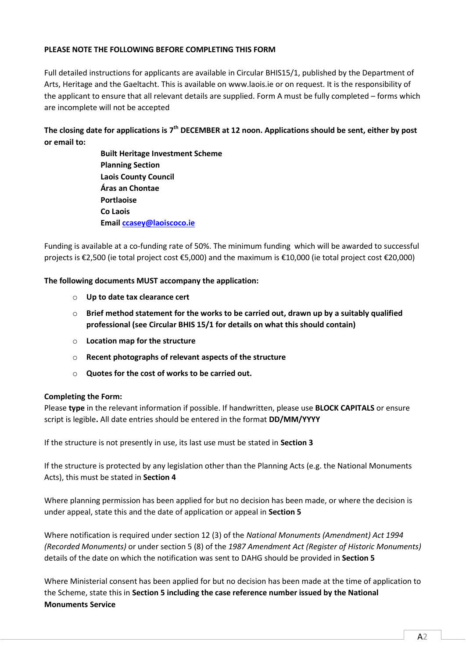#### **PLEASE NOTE THE FOLLOWING BEFORE COMPLETING THIS FORM**

Full detailed instructions for applicants are available in Circular BHIS15/1, published by the Department of Arts, Heritage and the Gaeltacht. This is available on [www.laois.ie](http://www.laois.ie/) or on request. It is the responsibility of the applicant to ensure that all relevant details are supplied. Form A must be fully completed – forms which are incomplete will not be accepted

### The closing date for applications is 7<sup>th</sup> DECEMBER at 12 noon. Applications should be sent, either by post **or email to:**

**Built Heritage Investment Scheme Planning Section Laois County Council Áras an Chontae Portlaoise Co Laois Email [ccasey@laoiscoco.ie](mailto:ccasey@laoiscoco.ie)**

Funding is available at a co-funding rate of 50%. The minimum funding which will be awarded to successful projects is €2,500 (ie total project cost €5,000) and the maximum is €10,000 (ie total project cost €20,000)

#### **The following documents MUST accompany the application:**

- o **Up to date tax clearance cert**
- o **Brief method statement for the works to be carried out, drawn up by a suitably qualified professional (see Circular BHIS 15/1 for details on what this should contain)**
- o **Location map for the structure**
- o **Recent photographs of relevant aspects of the structure**
- o **Quotes for the cost of works to be carried out.**

#### **Completing the Form:**

Please **type** in the relevant information if possible. If handwritten, please use **BLOCK CAPITALS** or ensure script is legible**.** All date entries should be entered in the format **DD/MM/YYYY**

If the structure is not presently in use, its last use must be stated in **Section 3**

If the structure is protected by any legislation other than the Planning Acts (e.g. the National Monuments Acts), this must be stated in **Section 4**

Where planning permission has been applied for but no decision has been made, or where the decision is under appeal, state this and the date of application or appeal in **Section 5**

Where notification is required under section 12 (3) of the *National Monuments (Amendment) Act 1994 (Recorded Monuments)* or under section 5 (8) of the *1987 Amendment Act (Register of Historic Monuments)* details of the date on which the notification was sent to DAHG should be provided in **Section 5**

Where Ministerial consent has been applied for but no decision has been made at the time of application to the Scheme, state this in **Section 5 including the case reference number issued by the National Monuments Service**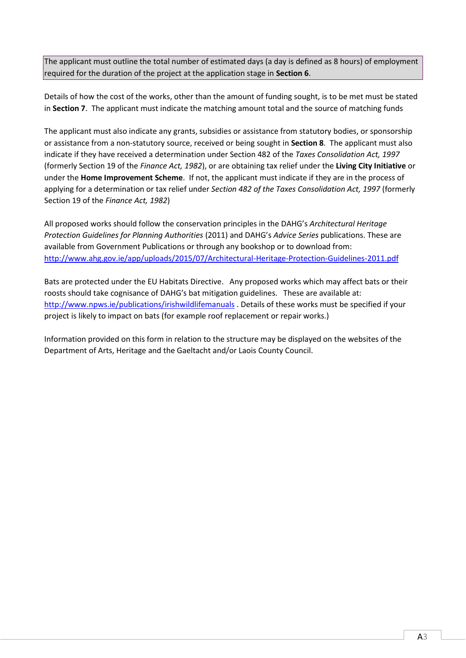The applicant must outline the total number of estimated days (a day is defined as 8 hours) of employment required for the duration of the project at the application stage in **Section 6**.

Details of how the cost of the works, other than the amount of funding sought, is to be met must be stated in **Section 7**. The applicant must indicate the matching amount total and the source of matching funds

The applicant must also indicate any grants, subsidies or assistance from statutory bodies, or sponsorship or assistance from a non-statutory source, received or being sought in **Section 8**. The applicant must also indicate if they have received a determination under Section 482 of the *Taxes Consolidation Act, 1997* (formerly Section 19 of the *Finance Act, 1982*), or are obtaining tax relief under the **Living City Initiative** or under the **Home Improvement Scheme**. If not, the applicant must indicate if they are in the process of applying for a determination or tax relief under *Section 482 of the Taxes Consolidation Act, 1997* (formerly Section 19 of the *Finance Act, 1982*)

All proposed works should follow the conservation principles in the DAHG's *[Architectural Heritage](http://www.ahg.gov.ie/en/Publications/HeritagePublications/BuiltHeritagePolicyPublications/Architectural%20Heritage%20Protection%20Guidelines%20(2011).pdf)  [Protection Guidelines for Planning Authorities](http://www.ahg.gov.ie/en/Publications/HeritagePublications/BuiltHeritagePolicyPublications/Architectural%20Heritage%20Protection%20Guidelines%20(2011).pdf)* (2011) and DAHG's *[Advice Series](http://www.ahg.gov.ie/en/Publications/HeritagePublications/BuiltHeritagePolicyPublications/)* publications. These are available from Government Publications or through any bookshop or to download from: <http://www.ahg.gov.ie/app/uploads/2015/07/Architectural-Heritage-Protection-Guidelines-2011.pdf>

Bats are protected under the EU Habitats Directive. Any proposed works which may affect bats or their roosts should take cognisance of DAHG's bat mitigation guidelines. These are available at: <http://www.npws.ie/publications/irishwildlifemanuals> . Details of these works must be specified if your project is likely to impact on bats (for example roof replacement or repair works.)

Information provided on this form in relation to the structure may be displayed on the websites of the Department of Arts, Heritage and the Gaeltacht and/or Laois County Council.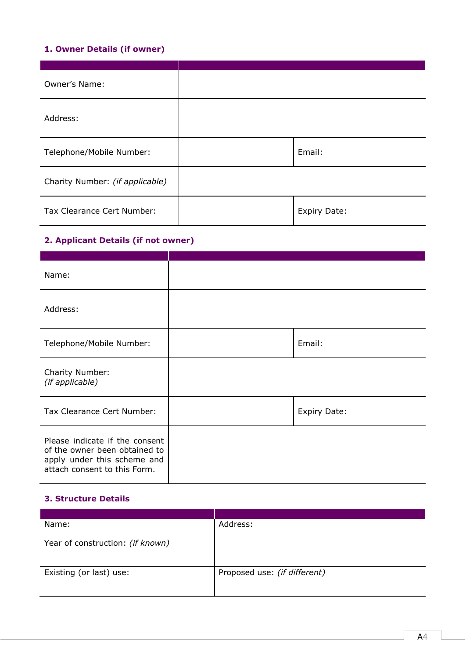# **1. Owner Details (if owner)**

| Owner's Name:                   |              |
|---------------------------------|--------------|
| Address:                        |              |
| Telephone/Mobile Number:        | Email:       |
| Charity Number: (if applicable) |              |
| Tax Clearance Cert Number:      | Expiry Date: |

# **2. Applicant Details (if not owner)**

| Name:                                                                                                                          |                     |
|--------------------------------------------------------------------------------------------------------------------------------|---------------------|
| Address:                                                                                                                       |                     |
| Telephone/Mobile Number:                                                                                                       | Email:              |
| Charity Number:<br>(if applicable)                                                                                             |                     |
| Tax Clearance Cert Number:                                                                                                     | <b>Expiry Date:</b> |
| Please indicate if the consent<br>of the owner been obtained to<br>apply under this scheme and<br>attach consent to this Form. |                     |

### **3. Structure Details**

| Name:                            | Address:                     |
|----------------------------------|------------------------------|
| Year of construction: (if known) |                              |
| Existing (or last) use:          | Proposed use: (if different) |
|                                  |                              |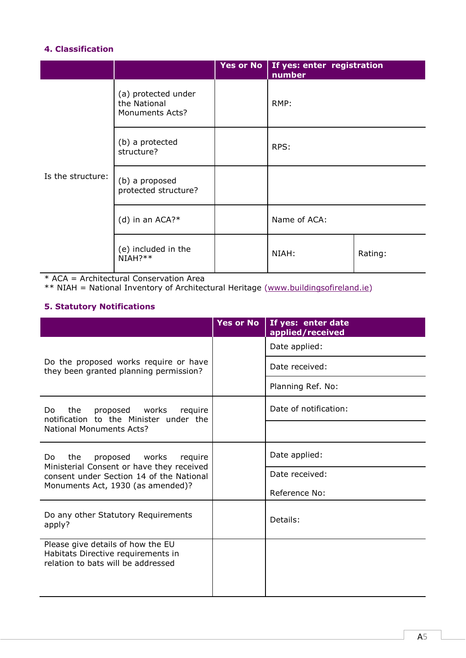# **4. Classification**

|                   |                                                               | Yes or No   If yes: enter registration<br>number |         |
|-------------------|---------------------------------------------------------------|--------------------------------------------------|---------|
|                   | (a) protected under<br>the National<br><b>Monuments Acts?</b> | RMP:                                             |         |
|                   | (b) a protected<br>structure?                                 | RPS:                                             |         |
| Is the structure: | (b) a proposed<br>protected structure?                        |                                                  |         |
|                   | (d) in an $ACA?*$                                             | Name of ACA:                                     |         |
|                   | (e) included in the<br>$NIAH?**$                              | NIAH:                                            | Rating: |

\* ACA = Architectural Conservation Area

\*\* NIAH = National Inventory of Architectural Heritage [\(www.buildingsofireland.ie\)](http://www.buildingsofireland.ie/)

# **5. Statutory Notifications**

|                                                                                                               | <b>Yes or No</b> | If yes: enter date<br>applied/received |
|---------------------------------------------------------------------------------------------------------------|------------------|----------------------------------------|
|                                                                                                               |                  | Date applied:                          |
| Do the proposed works require or have<br>they been granted planning permission?                               |                  | Date received:                         |
|                                                                                                               |                  | Planning Ref. No:                      |
| the<br>proposed works require<br>Do.<br>notification to the Minister under the                                |                  | Date of notification:                  |
| <b>National Monuments Acts?</b>                                                                               |                  |                                        |
| proposed works require<br>the<br>Do.                                                                          |                  | Date applied:                          |
| Ministerial Consent or have they received<br>consent under Section 14 of the National                         |                  | Date received:                         |
| Monuments Act, 1930 (as amended)?                                                                             |                  | Reference No:                          |
| Do any other Statutory Requirements<br>apply?                                                                 |                  | Details:                               |
| Please give details of how the EU<br>Habitats Directive requirements in<br>relation to bats will be addressed |                  |                                        |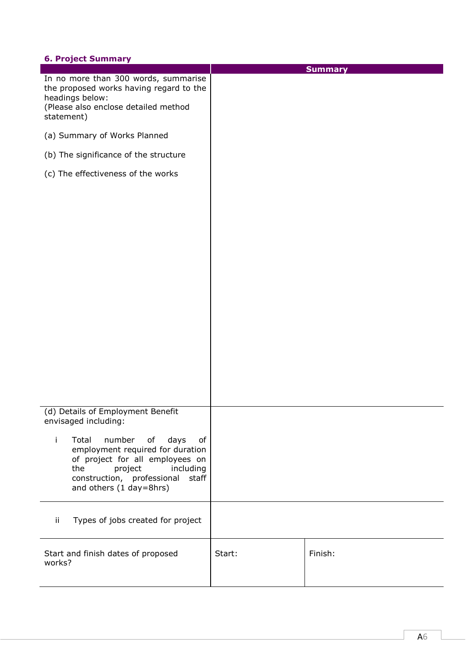# **6. Project Summary**

| -- - - - <b>-</b> -<br>--------------                                                                                                                                                                             |        | <b>Summary</b> |
|-------------------------------------------------------------------------------------------------------------------------------------------------------------------------------------------------------------------|--------|----------------|
| In no more than 300 words, summarise<br>the proposed works having regard to the<br>headings below:<br>(Please also enclose detailed method<br>statement)                                                          |        |                |
| (a) Summary of Works Planned                                                                                                                                                                                      |        |                |
| (b) The significance of the structure                                                                                                                                                                             |        |                |
| (c) The effectiveness of the works                                                                                                                                                                                |        |                |
|                                                                                                                                                                                                                   |        |                |
| (d) Details of Employment Benefit<br>envisaged including:                                                                                                                                                         |        |                |
| j.<br>Total<br>number<br>of<br>days<br>of<br>employment required for duration<br>of project for all employees on<br>the<br>project<br>including<br>construction, professional<br>staff<br>and others (1 day=8hrs) |        |                |
| ij.<br>Types of jobs created for project                                                                                                                                                                          |        |                |
| Start and finish dates of proposed<br>works?                                                                                                                                                                      | Start: | Finish:        |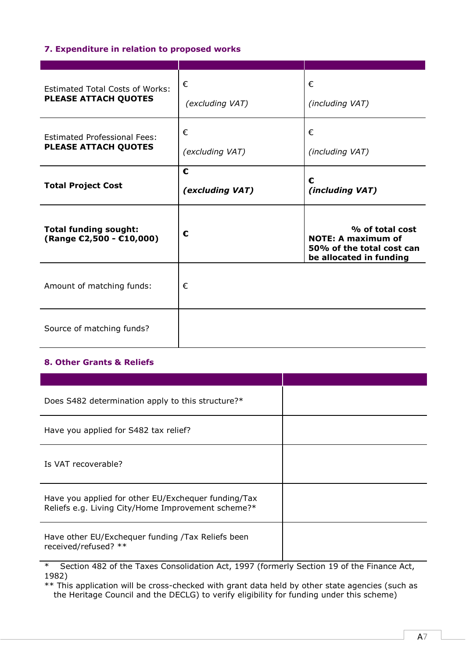### **7. Expenditure in relation to proposed works**

| <b>Estimated Total Costs of Works:</b><br>PLEASE ATTACH QUOTES     | €<br>(excluding VAT) | €<br>(including VAT)                                                                                 |
|--------------------------------------------------------------------|----------------------|------------------------------------------------------------------------------------------------------|
| <b>Estimated Professional Fees:</b><br><b>PLEASE ATTACH QUOTES</b> | €<br>(excluding VAT) | €<br>(including VAT)                                                                                 |
| <b>Total Project Cost</b>                                          | €<br>(excluding VAT) | €<br>(including VAT)                                                                                 |
| <b>Total funding sought:</b><br>(Range €2,500 - €10,000)           | €                    | % of total cost<br><b>NOTE: A maximum of</b><br>50% of the total cost can<br>be allocated in funding |
| Amount of matching funds:                                          | €                    |                                                                                                      |
|                                                                    |                      |                                                                                                      |

# **8. Other Grants & Reliefs**

| Does S482 determination apply to this structure?*                                                         |                                                         |
|-----------------------------------------------------------------------------------------------------------|---------------------------------------------------------|
| Have you applied for S482 tax relief?                                                                     |                                                         |
| Is VAT recoverable?                                                                                       |                                                         |
| Have you applied for other EU/Exchequer funding/Tax<br>Reliefs e.g. Living City/Home Improvement scheme?* |                                                         |
| Have other EU/Exchequer funding /Tax Reliefs been<br>received/refused? **                                 |                                                         |
| $\sigma$ is 400 fit $\tau$ or it is a 400 m                                                               | $\sim$ $\sim$ $\sim$ $\sim$ $\sim$ $\sim$ $\sim$ $\sim$ |

\* Section 482 of the Taxes Consolidation Act, 1997 (formerly Section 19 of the Finance Act, 1982)

\*\* This application will be cross-checked with grant data held by other state agencies (such as the Heritage Council and the DECLG) to verify eligibility for funding under this scheme)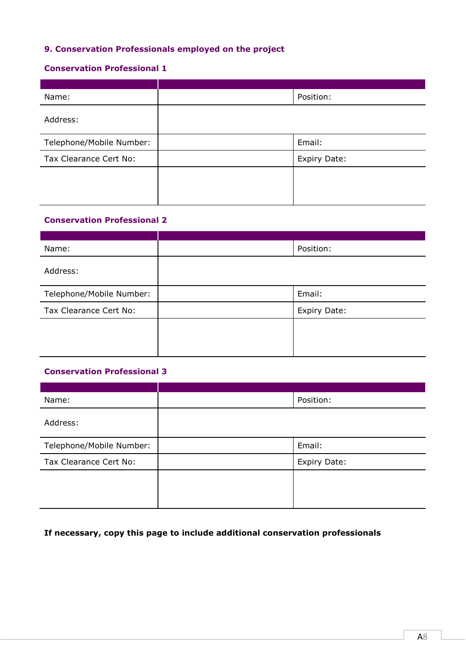# **9. Conservation Professionals employed on the project**

#### **Conservation Professional 1**

| Name:                    | Position:    |
|--------------------------|--------------|
| Address:                 |              |
| Telephone/Mobile Number: | Email:       |
| Tax Clearance Cert No:   | Expiry Date: |
|                          |              |
|                          |              |

# **Conservation Professional 2**

| Name:                    | Position:    |
|--------------------------|--------------|
| Address:                 |              |
| Telephone/Mobile Number: | Email:       |
| Tax Clearance Cert No:   | Expiry Date: |
|                          |              |
|                          |              |
|                          |              |

#### **Conservation Professional 3**

| Name:                    | Position:           |
|--------------------------|---------------------|
| Address:                 |                     |
| Telephone/Mobile Number: | Email:              |
| Tax Clearance Cert No:   | <b>Expiry Date:</b> |
|                          |                     |
|                          |                     |

# **If necessary, copy this page to include additional conservation professionals**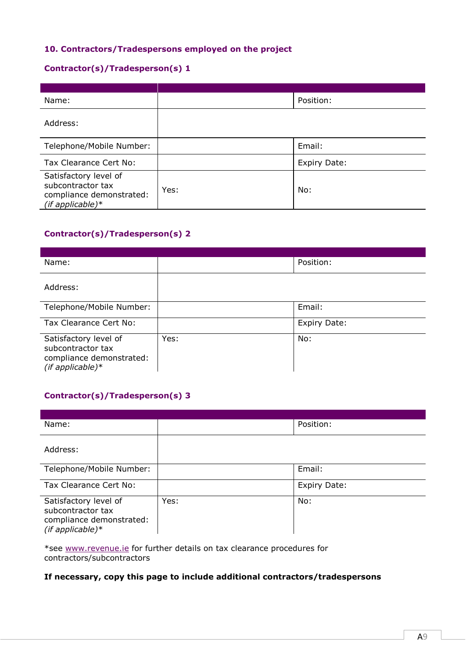### **10. Contractors/Tradespersons employed on the project**

### **Contractor(s)/Tradesperson(s) 1**

| Name:                                                                                        |      | Position:    |
|----------------------------------------------------------------------------------------------|------|--------------|
| Address:                                                                                     |      |              |
| Telephone/Mobile Number:                                                                     |      | Email:       |
| Tax Clearance Cert No:                                                                       |      | Expiry Date: |
| Satisfactory level of<br>subcontractor tax<br>compliance demonstrated:<br>$(if$ applicable)* | Yes: | No:          |

# **Contractor(s)/Tradesperson(s) 2**

| Name:                                                                                         |      | Position:    |
|-----------------------------------------------------------------------------------------------|------|--------------|
| Address:                                                                                      |      |              |
| Telephone/Mobile Number:                                                                      |      | Email:       |
| Tax Clearance Cert No:                                                                        |      | Expiry Date: |
| Satisfactory level of<br>subcontractor tax<br>compliance demonstrated:<br>(if applicable) $*$ | Yes: | No:          |

# **Contractor(s)/Tradesperson(s) 3**

| Name:                                                                                         |      | Position:    |
|-----------------------------------------------------------------------------------------------|------|--------------|
| Address:                                                                                      |      |              |
| Telephone/Mobile Number:                                                                      |      | Email:       |
| Tax Clearance Cert No:                                                                        |      | Expiry Date: |
| Satisfactory level of<br>subcontractor tax<br>compliance demonstrated:<br>(if applicable) $*$ | Yes: | No:          |

\*see [www.revenue.ie](http://www.revenue.ie/) for further details on tax clearance procedures for contractors/subcontractors

## **If necessary, copy this page to include additional contractors/tradespersons**